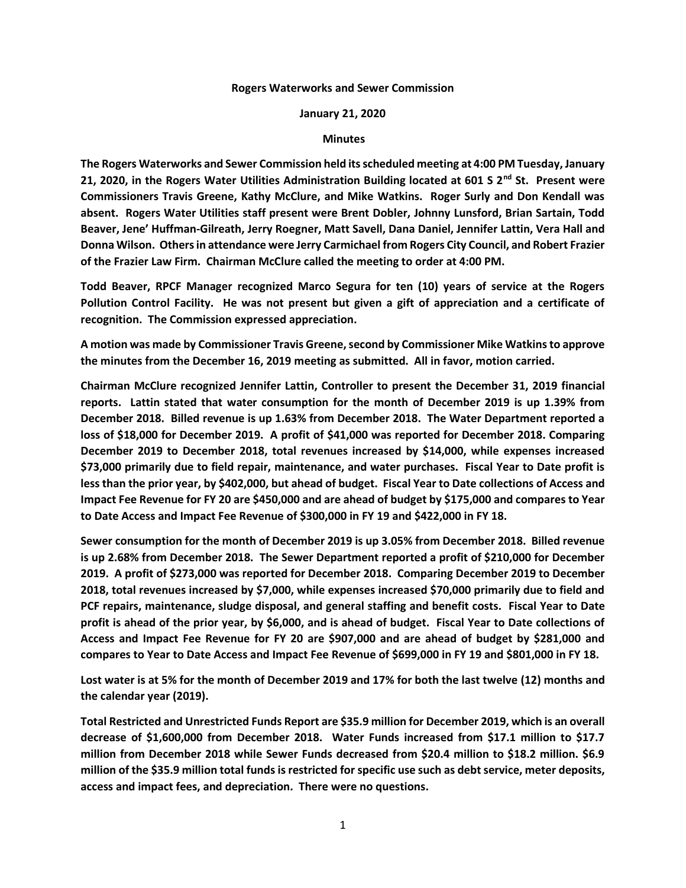## **Rogers Waterworks and Sewer Commission**

## **January 21, 2020**

## **Minutes**

**The Rogers Waterworks and Sewer Commission held its scheduled meeting at 4:00 PM Tuesday, January 21, 2020, in the Rogers Water Utilities Administration Building located at 601 S 2nd St. Present were Commissioners Travis Greene, Kathy McClure, and Mike Watkins. Roger Surly and Don Kendall was absent. Rogers Water Utilities staff present were Brent Dobler, Johnny Lunsford, Brian Sartain, Todd Beaver, Jene' Huffman-Gilreath, Jerry Roegner, Matt Savell, Dana Daniel, Jennifer Lattin, Vera Hall and Donna Wilson. Others in attendance were Jerry Carmichael from Rogers City Council, and Robert Frazier of the Frazier Law Firm. Chairman McClure called the meeting to order at 4:00 PM.**

**Todd Beaver, RPCF Manager recognized Marco Segura for ten (10) years of service at the Rogers Pollution Control Facility. He was not present but given a gift of appreciation and a certificate of recognition. The Commission expressed appreciation.**

**A motion was made by Commissioner Travis Greene, second by Commissioner Mike Watkins to approve the minutes from the December 16, 2019 meeting as submitted. All in favor, motion carried.**

**Chairman McClure recognized Jennifer Lattin, Controller to present the December 31, 2019 financial reports. Lattin stated that water consumption for the month of December 2019 is up 1.39% from December 2018. Billed revenue is up 1.63% from December 2018. The Water Department reported a loss of \$18,000 for December 2019. A profit of \$41,000 was reported for December 2018. Comparing December 2019 to December 2018, total revenues increased by \$14,000, while expenses increased \$73,000 primarily due to field repair, maintenance, and water purchases. Fiscal Year to Date profit is less than the prior year, by \$402,000, but ahead of budget. Fiscal Year to Date collections of Access and Impact Fee Revenue for FY 20 are \$450,000 and are ahead of budget by \$175,000 and compares to Year to Date Access and Impact Fee Revenue of \$300,000 in FY 19 and \$422,000 in FY 18.**

**Sewer consumption for the month of December 2019 is up 3.05% from December 2018. Billed revenue is up 2.68% from December 2018. The Sewer Department reported a profit of \$210,000 for December 2019. A profit of \$273,000 was reported for December 2018. Comparing December 2019 to December 2018, total revenues increased by \$7,000, while expenses increased \$70,000 primarily due to field and PCF repairs, maintenance, sludge disposal, and general staffing and benefit costs. Fiscal Year to Date profit is ahead of the prior year, by \$6,000, and is ahead of budget. Fiscal Year to Date collections of Access and Impact Fee Revenue for FY 20 are \$907,000 and are ahead of budget by \$281,000 and compares to Year to Date Access and Impact Fee Revenue of \$699,000 in FY 19 and \$801,000 in FY 18.**

**Lost water is at 5% for the month of December 2019 and 17% for both the last twelve (12) months and the calendar year (2019).**

**Total Restricted and Unrestricted Funds Report are \$35.9 million for December 2019, which is an overall decrease of \$1,600,000 from December 2018. Water Funds increased from \$17.1 million to \$17.7 million from December 2018 while Sewer Funds decreased from \$20.4 million to \$18.2 million. \$6.9 million of the \$35.9 million total funds is restricted for specific use such as debt service, meter deposits, access and impact fees, and depreciation. There were no questions.**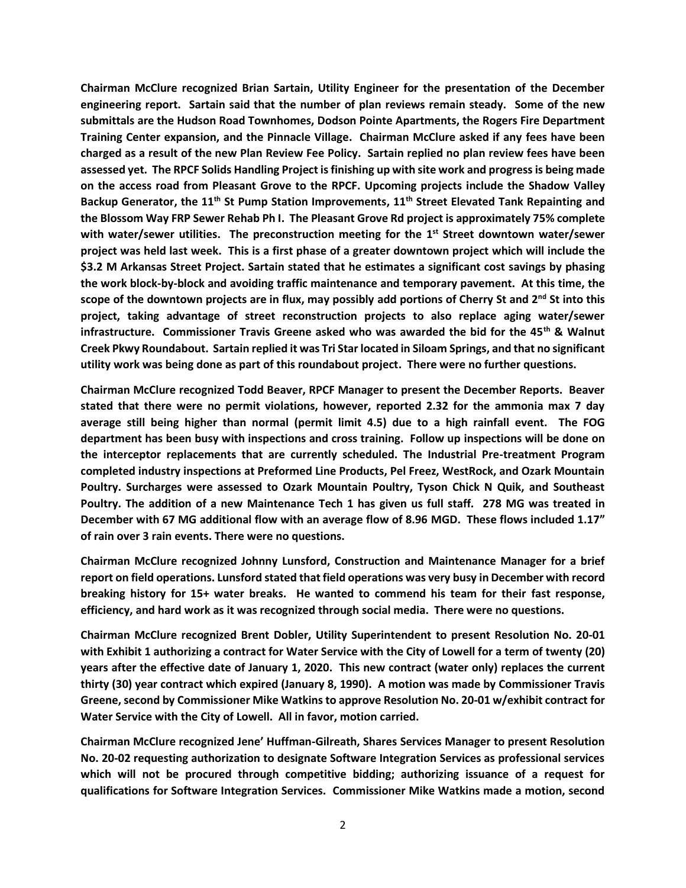**Chairman McClure recognized Brian Sartain, Utility Engineer for the presentation of the December engineering report. Sartain said that the number of plan reviews remain steady. Some of the new submittals are the Hudson Road Townhomes, Dodson Pointe Apartments, the Rogers Fire Department Training Center expansion, and the Pinnacle Village. Chairman McClure asked if any fees have been charged as a result of the new Plan Review Fee Policy. Sartain replied no plan review fees have been assessed yet. The RPCF Solids Handling Project is finishing up with site work and progress is being made on the access road from Pleasant Grove to the RPCF. Upcoming projects include the Shadow Valley Backup Generator, the 11th St Pump Station Improvements, 11th Street Elevated Tank Repainting and the Blossom Way FRP Sewer Rehab Ph I. The Pleasant Grove Rd project is approximately 75% complete with water/sewer utilities. The preconstruction meeting for the 1 st Street downtown water/sewer project was held last week. This is a first phase of a greater downtown project which will include the \$3.2 M Arkansas Street Project. Sartain stated that he estimates a significant cost savings by phasing the work block-by-block and avoiding traffic maintenance and temporary pavement. At this time, the scope of the downtown projects are in flux, may possibly add portions of Cherry St and 2nd St into this project, taking advantage of street reconstruction projects to also replace aging water/sewer infrastructure. Commissioner Travis Greene asked who was awarded the bid for the 45th & Walnut Creek Pkwy Roundabout. Sartain replied it was Tri Star located in Siloam Springs, and that no significant utility work was being done as part of this roundabout project. There were no further questions.**

**Chairman McClure recognized Todd Beaver, RPCF Manager to present the December Reports. Beaver stated that there were no permit violations, however, reported 2.32 for the ammonia max 7 day average still being higher than normal (permit limit 4.5) due to a high rainfall event. The FOG department has been busy with inspections and cross training. Follow up inspections will be done on the interceptor replacements that are currently scheduled. The Industrial Pre-treatment Program completed industry inspections at Preformed Line Products, Pel Freez, WestRock, and Ozark Mountain Poultry. Surcharges were assessed to Ozark Mountain Poultry, Tyson Chick N Quik, and Southeast Poultry. The addition of a new Maintenance Tech 1 has given us full staff. 278 MG was treated in December with 67 MG additional flow with an average flow of 8.96 MGD. These flows included 1.17" of rain over 3 rain events. There were no questions.**

**Chairman McClure recognized Johnny Lunsford, Construction and Maintenance Manager for a brief report on field operations. Lunsford stated that field operations was very busy in December with record breaking history for 15+ water breaks. He wanted to commend his team for their fast response, efficiency, and hard work as it was recognized through social media. There were no questions.**

**Chairman McClure recognized Brent Dobler, Utility Superintendent to present Resolution No. 20-01 with Exhibit 1 authorizing a contract for Water Service with the City of Lowell for a term of twenty (20) years after the effective date of January 1, 2020. This new contract (water only) replaces the current thirty (30) year contract which expired (January 8, 1990). A motion was made by Commissioner Travis Greene, second by Commissioner Mike Watkins to approve Resolution No. 20-01 w/exhibit contract for Water Service with the City of Lowell. All in favor, motion carried.**

**Chairman McClure recognized Jene' Huffman-Gilreath, Shares Services Manager to present Resolution No. 20-02 requesting authorization to designate Software Integration Services as professional services which will not be procured through competitive bidding; authorizing issuance of a request for qualifications for Software Integration Services. Commissioner Mike Watkins made a motion, second**